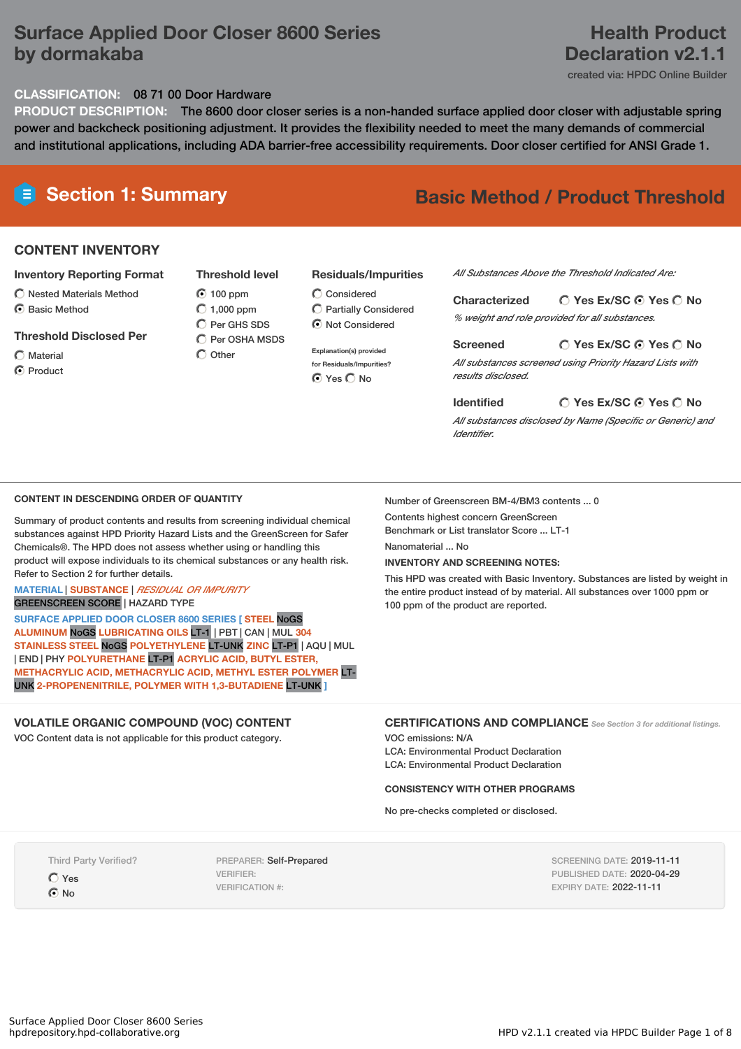### **Surface Applied Door Closer 8600 Series by dormakaba**

### **Health Product Declaration v2.1.1**

created via: HPDC Online Builder

#### **CLASSIFICATION:** 08 71 00 Door Hardware

**PRODUCT DESCRIPTION:** The 8600 door closer series is a non-handed surface applied door closer with adjustable spring power and backcheck positioning adjustment. It provides the flexibility needed to meet the many demands of commercial and institutional applications, including ADA barrier-free accessibility requirements. Door closer certified for ANSI Grade 1.

# **E** Section 1: Summary **Basic Method** / Product Threshold

### **CONTENT INVENTORY**

#### **Inventory Reporting Format**

- $\bigcirc$  Nested Materials Method
- **⊙** Basic Method

#### **Threshold Disclosed Per**

 $\bigcap$  Material C Product 100 ppm  $O$  1,000 ppm  $\overline{C}$  Per GHS SDS  $\bigcap$  Per OSHA MSDS  $\bigcap$  Other

#### **Residuals/Impurities**

 $\bigcirc$  Considered  $\bigcirc$  Partially Considered  $\odot$  Not Considered

**Explanation(s) provided for Residuals/Impurities?** ⊙ Yes O No

*All Substances Above the Threshold Indicated Are:*

**Yes Ex/SC Yes No Characterized** *% weight and role provided for all substances.*

**Yes Ex/SC Yes No Screened** *All substances screened using Priority Hazard Lists with results disclosed.*

**Yes Ex/SC Yes No Identified** *All substances disclosed by Name (Specific or Generic) and*

#### **CONTENT IN DESCENDING ORDER OF QUANTITY**

Summary of product contents and results from screening individual chemical substances against HPD Priority Hazard Lists and the GreenScreen for Safer Chemicals®. The HPD does not assess whether using or handling this product will expose individuals to its chemical substances or any health risk. Refer to Section 2 for further details.

### **MATERIAL** | **SUBSTANCE** | *RESIDUAL OR IMPURITY*

GREENSCREEN SCORE | HAZARD TYPE

**SURFACE APPLIED DOOR CLOSER 8600 SERIES [ STEEL** NoGS **ALUMINUM** NoGS **LUBRICATING OILS** LT-1 | PBT | CAN | MUL **304 STAINLESS STEEL** NoGS **POLYETHYLENE** LT-UNK **ZINC** LT-P1 | AQU | MUL | END | PHY **POLYURETHANE** LT-P1 **ACRYLIC ACID, BUTYL ESTER, METHACRYLIC ACID, METHACRYLIC ACID, METHYL ESTER POLYMER** LT-UNK **2-PROPENENITRILE, POLYMER WITH 1,3-BUTADIENE** LT-UNK **]**

### **VOLATILE ORGANIC COMPOUND (VOC) CONTENT**

VOC Content data is not applicable for this product category.

Number of Greenscreen BM-4/BM3 contents ... 0

Contents highest concern GreenScreen

*Identifier.*

Benchmark or List translator Score ... LT-1

Nanomaterial No.

#### **INVENTORY AND SCREENING NOTES:**

This HPD was created with Basic Inventory. Substances are listed by weight in the entire product instead of by material. All substances over 1000 ppm or 100 ppm of the product are reported.

#### **CERTIFICATIONS AND COMPLIANCE** *See Section <sup>3</sup> for additional listings.*

VOC emissions: N/A LCA: Environmental Product Declaration LCA: Environmental Product Declaration

#### **CONSISTENCY WITH OTHER PROGRAMS**

No pre-checks completed or disclosed.

Third Party Verified? Yes  $\odot$  No

PREPARER: Self-Prepared VERIFIER: VERIFICATION #:

SCREENING DATE: 2019-11-11 PUBLISHED DATE: 2020-04-29 EXPIRY DATE: 2022-11-11

**Threshold level**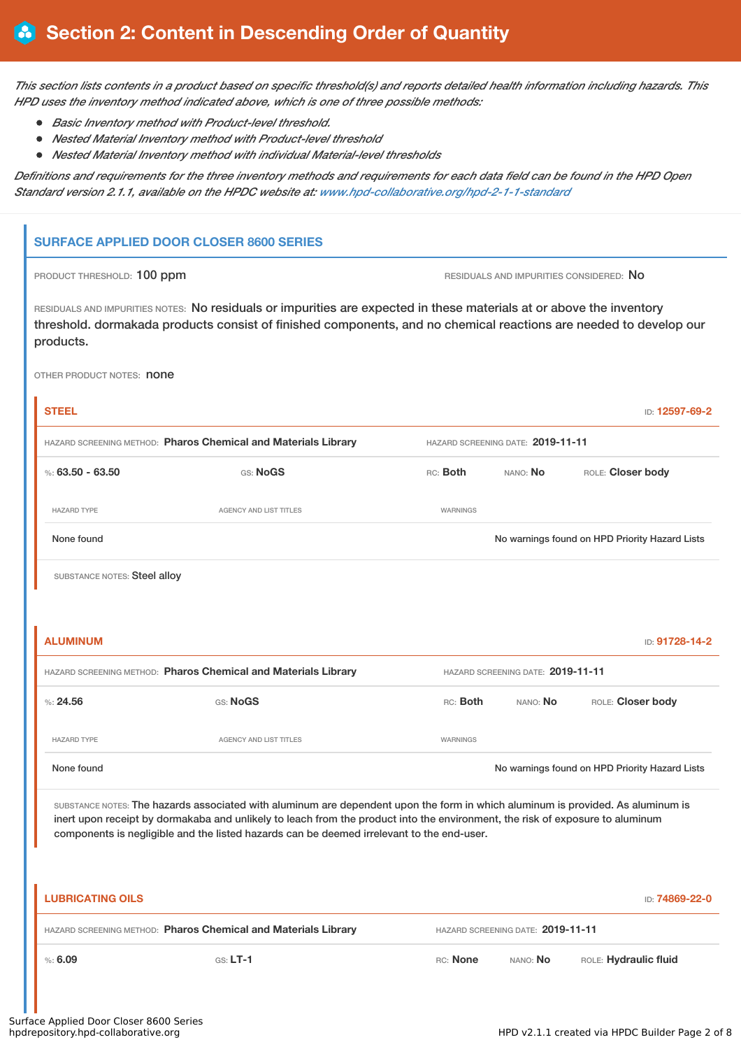This section lists contents in a product based on specific threshold(s) and reports detailed health information including hazards. This *HPD uses the inventory method indicated above, which is one of three possible methods:*

- *Basic Inventory method with Product-level threshold.*
- *Nested Material Inventory method with Product-level threshold*
- *Nested Material Inventory method with individual Material-level thresholds*

Definitions and requirements for the three inventory methods and requirements for each data field can be found in the HPD Open *Standard version 2.1.1, available on the HPDC website at: [www.hpd-collaborative.org/hpd-2-1-1-standard](https://www.hpd-collaborative.org/hpd-2-1-1-standard)*

### **SURFACE APPLIED DOOR CLOSER 8600 SERIES**

PRODUCT THRESHOLD: 100 ppm **RESIDUALS** AND IMPURITIES CONSIDERED: No

RESIDUALS AND IMPURITIES NOTES: No residuals or impurities are expected in these materials at or above the inventory threshold. dormakada products consist of finished components, and no chemical reactions are needed to develop our products.

OTHER PRODUCT NOTES: **none** 

| <b>STEEL</b>                                                                                                                                                                                                                                                                                                                                                  |                                                                |                 |                                   | ID: 12597-69-2                                 |  |  |
|---------------------------------------------------------------------------------------------------------------------------------------------------------------------------------------------------------------------------------------------------------------------------------------------------------------------------------------------------------------|----------------------------------------------------------------|-----------------|-----------------------------------|------------------------------------------------|--|--|
| HAZARD SCREENING METHOD: Pharos Chemical and Materials Library<br>HAZARD SCREENING DATE: 2019-11-11                                                                                                                                                                                                                                                           |                                                                |                 |                                   |                                                |  |  |
| %: $63.50 - 63.50$                                                                                                                                                                                                                                                                                                                                            | GS: NoGS                                                       | RC: Both        | ROLE: Closer body<br>NANO: No     |                                                |  |  |
| <b>HAZARD TYPE</b>                                                                                                                                                                                                                                                                                                                                            | <b>AGENCY AND LIST TITLES</b>                                  | WARNINGS        |                                   |                                                |  |  |
| None found                                                                                                                                                                                                                                                                                                                                                    |                                                                |                 |                                   | No warnings found on HPD Priority Hazard Lists |  |  |
| SUBSTANCE NOTES: Steel alloy                                                                                                                                                                                                                                                                                                                                  |                                                                |                 |                                   |                                                |  |  |
|                                                                                                                                                                                                                                                                                                                                                               |                                                                |                 |                                   |                                                |  |  |
| <b>ALUMINUM</b>                                                                                                                                                                                                                                                                                                                                               |                                                                |                 |                                   | ID: 91728-14-2                                 |  |  |
| HAZARD SCREENING METHOD: Pharos Chemical and Materials Library<br>HAZARD SCREENING DATE: 2019-11-11                                                                                                                                                                                                                                                           |                                                                |                 |                                   |                                                |  |  |
| %24.56                                                                                                                                                                                                                                                                                                                                                        | GS: NoGS                                                       | RC: Both        | NANO: No                          | ROLE: Closer body                              |  |  |
| <b>HAZARD TYPE</b>                                                                                                                                                                                                                                                                                                                                            | <b>AGENCY AND LIST TITLES</b>                                  | <b>WARNINGS</b> |                                   |                                                |  |  |
| None found                                                                                                                                                                                                                                                                                                                                                    |                                                                |                 |                                   | No warnings found on HPD Priority Hazard Lists |  |  |
| SUBSTANCE NOTES: The hazards associated with aluminum are dependent upon the form in which aluminum is provided. As aluminum is<br>inert upon receipt by dormakaba and unlikely to leach from the product into the environment, the risk of exposure to aluminum<br>components is negligible and the listed hazards can be deemed irrelevant to the end-user. |                                                                |                 |                                   |                                                |  |  |
| <b>LUBRICATING OILS</b>                                                                                                                                                                                                                                                                                                                                       |                                                                |                 |                                   | ID: 74869-22-0                                 |  |  |
|                                                                                                                                                                                                                                                                                                                                                               | HAZARD SCREENING METHOD: Pharos Chemical and Materials Library |                 | HAZARD SCREENING DATE: 2019-11-11 |                                                |  |  |
| %56.09                                                                                                                                                                                                                                                                                                                                                        | $GS: LT-1$                                                     | RC: None        | NANO: No                          | ROLE: Hydraulic fluid                          |  |  |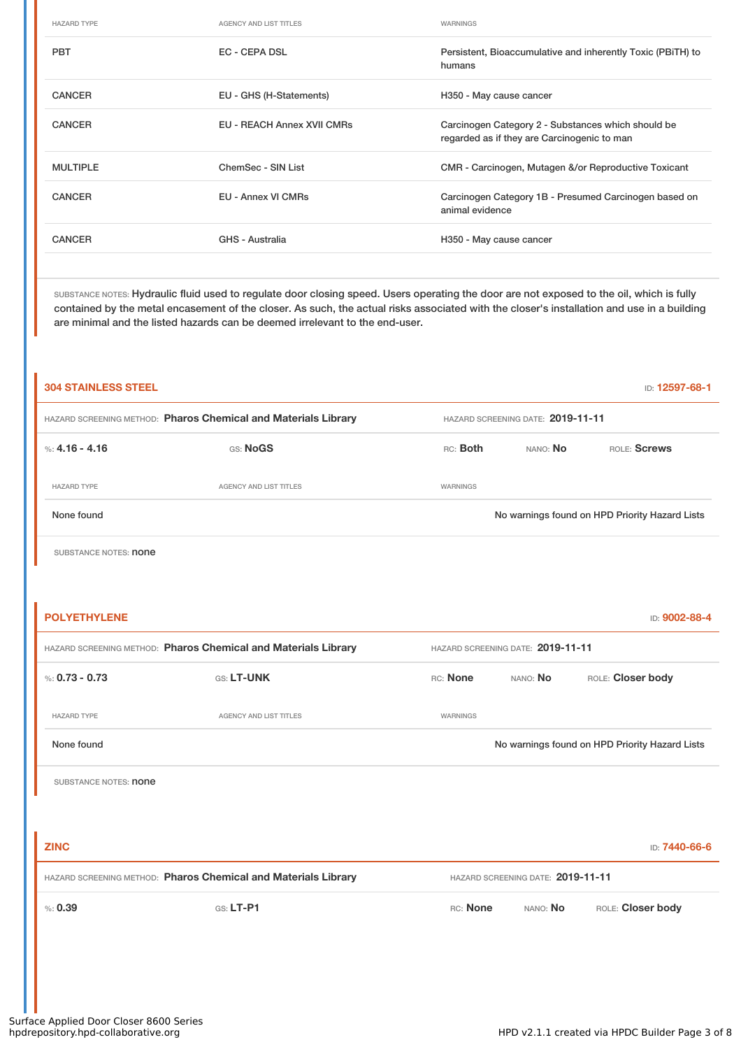| <b>HAZARD TYPE</b> | <b>AGENCY AND LIST TITLES</b>     | WARNINGS                                                                                          |
|--------------------|-----------------------------------|---------------------------------------------------------------------------------------------------|
| <b>PBT</b>         | <b>EC - CEPA DSL</b>              | Persistent, Bioaccumulative and inherently Toxic (PBiTH) to<br>humans                             |
| <b>CANCER</b>      | EU - GHS (H-Statements)           | H350 - May cause cancer                                                                           |
| <b>CANCER</b>      | <b>EU - REACH Annex XVII CMRs</b> | Carcinogen Category 2 - Substances which should be<br>regarded as if they are Carcinogenic to man |
| <b>MULTIPLE</b>    | ChemSec - SIN List                | CMR - Carcinogen, Mutagen &/or Reproductive Toxicant                                              |
| <b>CANCER</b>      | <b>EU - Annex VI CMRs</b>         | Carcinogen Category 1B - Presumed Carcinogen based on<br>animal evidence                          |
| <b>CANCER</b>      | GHS - Australia                   | H350 - May cause cancer                                                                           |
|                    |                                   |                                                                                                   |

SUBSTANCE NOTES: Hydraulic fluid used to regulate door closing speed. Users operating the door are not exposed to the oil, which is fully contained by the metal encasement of the closer. As such, the actual risks associated with the closer's installation and use in a building are minimal and the listed hazards can be deemed irrelevant to the end-user.

| <b>304 STAINLESS STEEL</b>                                     |                        |                 |                                   | ID: 12597-68-1                                 |  |  |
|----------------------------------------------------------------|------------------------|-----------------|-----------------------------------|------------------------------------------------|--|--|
| HAZARD SCREENING METHOD: Pharos Chemical and Materials Library |                        |                 | HAZARD SCREENING DATE: 2019-11-11 |                                                |  |  |
| %: 4.16 - 4.16                                                 | GS: NoGS               | RC: Both        | NANO: No                          | ROLE: Screws                                   |  |  |
| <b>HAZARD TYPE</b>                                             | AGENCY AND LIST TITLES | <b>WARNINGS</b> |                                   |                                                |  |  |
| None found                                                     |                        |                 |                                   | No warnings found on HPD Priority Hazard Lists |  |  |

SUBSTANCE NOTES: **none** 

| <b>POLYETHYLENE</b>                                            |                        |                                   |                                   | ID: 9002-88-4                                  |
|----------------------------------------------------------------|------------------------|-----------------------------------|-----------------------------------|------------------------------------------------|
| HAZARD SCREENING METHOD: Pharos Chemical and Materials Library |                        | HAZARD SCREENING DATE: 2019-11-11 |                                   |                                                |
| %: $0.73 - 0.73$                                               | GS: LT-UNK             | RC: None                          | NANO: No                          | ROLE: Closer body                              |
| <b>HAZARD TYPE</b>                                             | AGENCY AND LIST TITLES | WARNINGS                          |                                   |                                                |
| None found                                                     |                        |                                   |                                   | No warnings found on HPD Priority Hazard Lists |
| SUBSTANCE NOTES: <b>none</b>                                   |                        |                                   |                                   |                                                |
|                                                                |                        |                                   |                                   |                                                |
| <b>ZINC</b>                                                    |                        |                                   |                                   | ID: 7440-66-6                                  |
| HAZARD SCREENING METHOD: Pharos Chemical and Materials Library |                        |                                   | HAZARD SCREENING DATE: 2019-11-11 |                                                |
| % 0.39                                                         | $GS: LT-PI$            | RC: None                          | NANO: No                          | ROLE: Closer body                              |
|                                                                |                        |                                   |                                   |                                                |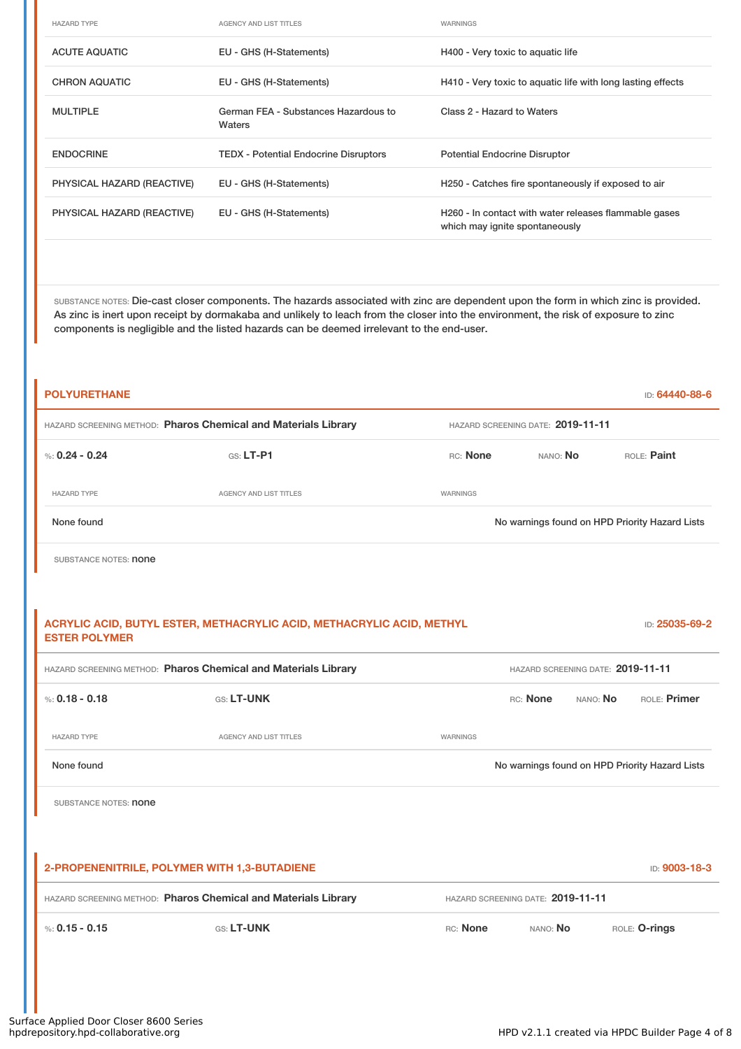| <b>HAZARD TYPE</b>         | AGENCY AND LIST TITLES                         | WARNINGS                                                                                |
|----------------------------|------------------------------------------------|-----------------------------------------------------------------------------------------|
| <b>ACUTE AQUATIC</b>       | EU - GHS (H-Statements)                        | H400 - Very toxic to aquatic life                                                       |
| <b>CHRON AQUATIC</b>       | EU - GHS (H-Statements)                        | H410 - Very toxic to aquatic life with long lasting effects                             |
| <b>MULTIPLE</b>            | German FEA - Substances Hazardous to<br>Waters | Class 2 - Hazard to Waters                                                              |
| <b>ENDOCRINE</b>           | <b>TEDX</b> - Potential Endocrine Disruptors   | <b>Potential Endocrine Disruptor</b>                                                    |
| PHYSICAL HAZARD (REACTIVE) | EU - GHS (H-Statements)                        | H250 - Catches fire spontaneously if exposed to air                                     |
| PHYSICAL HAZARD (REACTIVE) | EU - GHS (H-Statements)                        | H260 - In contact with water releases flammable gases<br>which may ignite spontaneously |

SUBSTANCE NOTES: Die-cast closer components. The hazards associated with zinc are dependent upon the form in which zinc is provided. As zinc is inert upon receipt by dormakaba and unlikely to leach from the closer into the environment, the risk of exposure to zinc components is negligible and the listed hazards can be deemed irrelevant to the end-user.

| <b>POLYURETHANE</b>                                            |                                                                       |                                   |                                   | ID: 64440-88-6                                 |  |
|----------------------------------------------------------------|-----------------------------------------------------------------------|-----------------------------------|-----------------------------------|------------------------------------------------|--|
|                                                                | HAZARD SCREENING METHOD: Pharos Chemical and Materials Library        |                                   | HAZARD SCREENING DATE: 2019-11-11 |                                                |  |
| %: $0.24 - 0.24$                                               | $G.S. LT-P1$                                                          | RC: None                          | ROLE: Paint<br>NANO: No           |                                                |  |
| <b>HAZARD TYPE</b>                                             | <b>AGENCY AND LIST TITLES</b>                                         | WARNINGS                          |                                   |                                                |  |
| None found                                                     |                                                                       |                                   |                                   | No warnings found on HPD Priority Hazard Lists |  |
| SUBSTANCE NOTES: <b>none</b>                                   |                                                                       |                                   |                                   |                                                |  |
|                                                                |                                                                       |                                   |                                   |                                                |  |
| <b>ESTER POLYMER</b>                                           | ACRYLIC ACID, BUTYL ESTER, METHACRYLIC ACID, METHACRYLIC ACID, METHYL |                                   |                                   | ID: 25035-69-2                                 |  |
| HAZARD SCREENING METHOD: Pharos Chemical and Materials Library |                                                                       | HAZARD SCREENING DATE: 2019-11-11 |                                   |                                                |  |
| %: $0.18 - 0.18$                                               | GS: LT-UNK                                                            |                                   | RC: None<br>NANO: No              | ROLE: Primer                                   |  |
| <b>HAZARD TYPE</b>                                             | <b>AGENCY AND LIST TITLES</b>                                         | WARNINGS                          |                                   |                                                |  |
| None found                                                     |                                                                       |                                   |                                   | No warnings found on HPD Priority Hazard Lists |  |
| SUBSTANCE NOTES: <b>none</b>                                   |                                                                       |                                   |                                   |                                                |  |
|                                                                |                                                                       |                                   |                                   |                                                |  |
|                                                                | 2-PROPENENITRILE, POLYMER WITH 1,3-BUTADIENE                          |                                   |                                   | ID: 9003-18-3                                  |  |
|                                                                | HAZARD SCREENING METHOD: Pharos Chemical and Materials Library        |                                   | HAZARD SCREENING DATE: 2019-11-11 |                                                |  |
| %: $0.15 - 0.15$                                               | GS: LT-UNK                                                            | RC: None                          | NANO: No                          | ROLE: O-rings                                  |  |
|                                                                |                                                                       |                                   |                                   |                                                |  |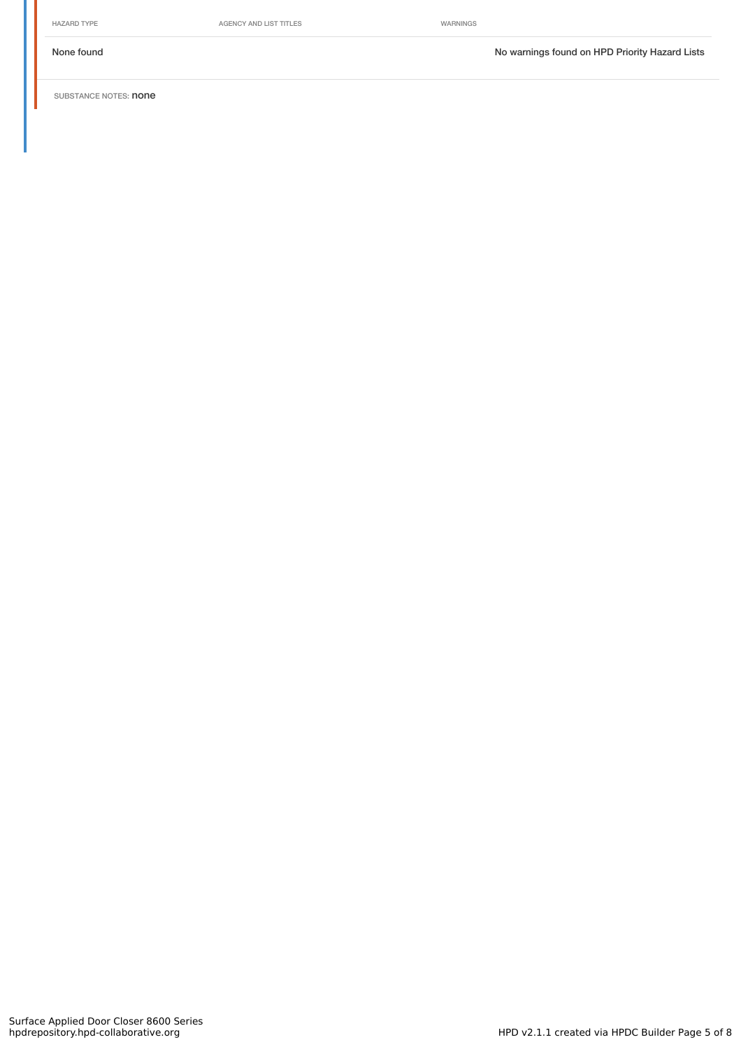HAZARD TYPE **AGENCY AND LIST TITLES** WARNINGS

None found Nowarnings found on HPD Priority Hazard Lists

SUBSTANCE NOTES: **none**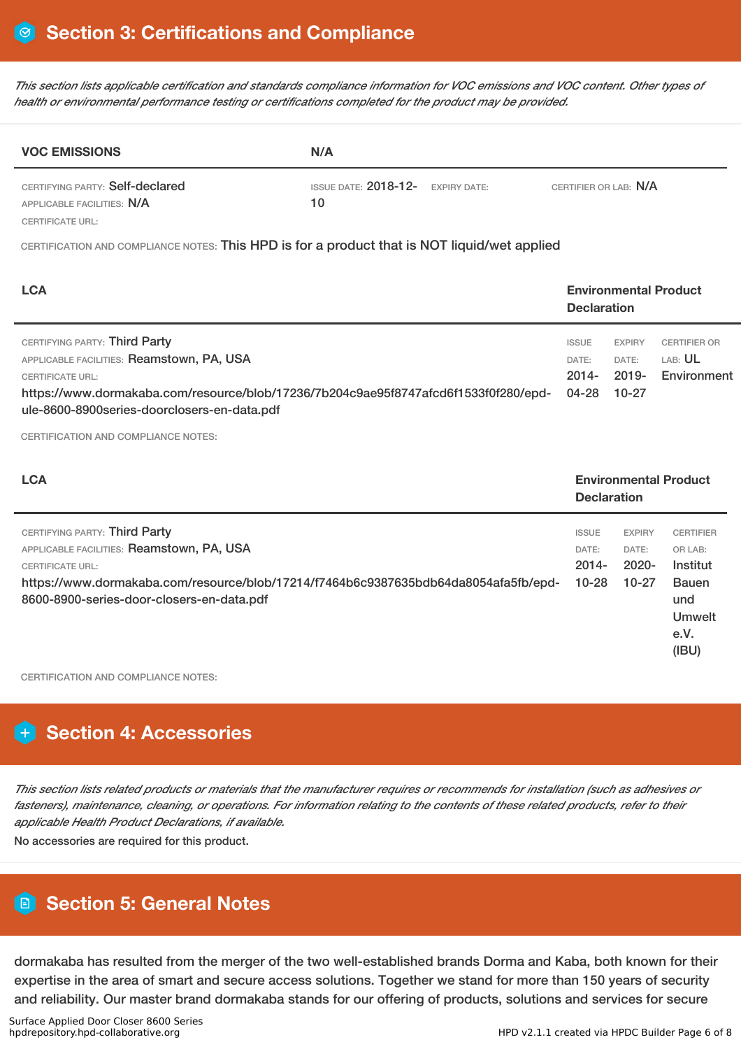This section lists applicable certification and standards compliance information for VOC emissions and VOC content. Other types of *health or environmental performance testing or certifications completed for the product may be provided.*

| <b>VOC EMISSIONS</b>                                          | N/A                                                                 |  |  |  |
|---------------------------------------------------------------|---------------------------------------------------------------------|--|--|--|
| CERTIFYING PARTY: Self-declared<br>APPLICABLE FACILITIES: N/A | ISSUE DATE: $2018-12$ - EXPIRY DATE:<br>CERTIFIER OR LAB: N/A<br>10 |  |  |  |
| CERTIFICATE URL:                                              |                                                                     |  |  |  |

CERTIFICATION AND COMPLIANCE NOTES: This HPD is for a product that is NOT liquid/wet applied

| <b>LCA</b>                                                                                                                                                                                                                                   |                                            | <b>Environmental Product</b><br><b>Declaration</b> |                                                      |  |
|----------------------------------------------------------------------------------------------------------------------------------------------------------------------------------------------------------------------------------------------|--------------------------------------------|----------------------------------------------------|------------------------------------------------------|--|
| CERTIFYING PARTY: Third Party<br>APPLICABLE FACILITIES: Reamstown, PA, USA<br><b>CERTIFICATE URL:</b><br>https://www.dormakaba.com/resource/blob/17236/7b204c9ae95f8747afcd6f1533f0f280/epd-<br>ule-8600-8900 series-doorclosers-en-data.pdf | <b>ISSUE</b><br>DATE:<br>$2014 -$<br>04-28 | <b>EXPIRY</b><br>DATE:<br>2019-<br>10-27           | <b>CERTIFIER OR</b><br>LAB: <b>UL</b><br>Environment |  |

CERTIFICATION AND COMPLIANCE NOTES:

| <b>LCA</b>                                                                                                                                                                                                                                |                                                | <b>Environmental Product</b><br><b>Declaration</b> |                                                                                                  |  |
|-------------------------------------------------------------------------------------------------------------------------------------------------------------------------------------------------------------------------------------------|------------------------------------------------|----------------------------------------------------|--------------------------------------------------------------------------------------------------|--|
| CERTIFYING PARTY: Third Party<br>APPLICABLE FACILITIES: Reamstown, PA, USA<br><b>CERTIFICATE URL:</b><br>https://www.dormakaba.com/resource/blob/17214/f7464b6c9387635bdb64da8054afa5fb/epd-<br>8600-8900-series-door-closers-en-data.pdf | <b>ISSUE</b><br>DATE:<br>$2014 -$<br>$10 - 28$ | <b>EXPIRY</b><br>DATE:<br>$2020 -$<br>$10 - 27$    | <b>CERTIFIER</b><br>OR LAB:<br>Institut<br><b>Bauen</b><br>und<br><b>Umwelt</b><br>e.V.<br>(IBU) |  |

CERTIFICATION AND COMPLIANCE NOTES:

## **Section 4: Accessories**

This section lists related products or materials that the manufacturer requires or recommends for installation (such as adhesives or fasteners), maintenance, cleaning, or operations. For information relating to the contents of these related products, refer to their *applicable Health Product Declarations, if available.*

No accessories are required for this product.

### **Section 5: General Notes**

dormakaba has resulted from the merger of the two well-established brands Dorma and Kaba, both known for their expertise in the area of smart and secure access solutions. Together we stand for more than 150 years of security and reliability. Our master brand dormakaba stands for our offering of products, solutions and services for secure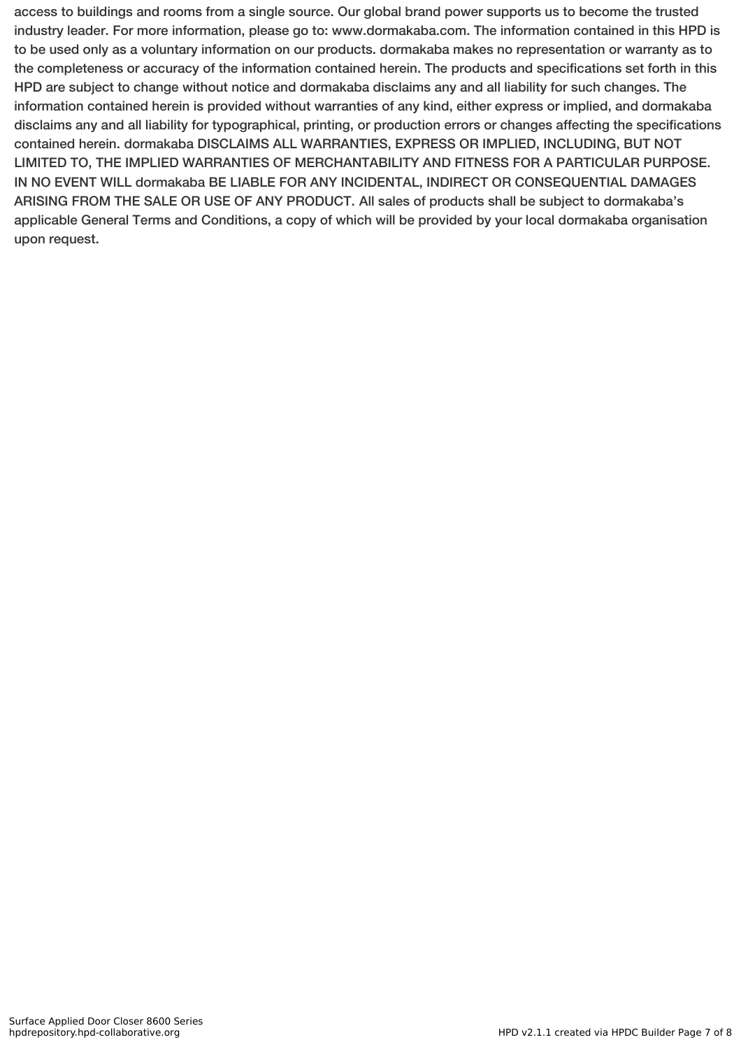access to buildings and rooms from a single source. Our global brand power supports us to become the trusted industry leader. For more information, please go to: www.dormakaba.com. The information contained in this HPD is to be used only as a voluntary information on our products. dormakaba makes no representation or warranty as to the completeness or accuracy of the information contained herein. The products and specifications set forth in this HPD are subject to change without notice and dormakaba disclaims any and all liability for such changes. The information contained herein is provided without warranties of any kind, either express or implied, and dormakaba disclaims any and all liability for typographical, printing, or production errors or changes affecting the specifications contained herein. dormakaba DISCLAIMS ALL WARRANTIES, EXPRESS OR IMPLIED, INCLUDING, BUT NOT LIMITED TO, THE IMPLIED WARRANTIES OF MERCHANTABILITY AND FITNESS FOR A PARTICULAR PURPOSE. IN NO EVENT WILL dormakaba BE LIABLE FOR ANY INCIDENTAL, INDIRECT OR CONSEQUENTIAL DAMAGES ARISING FROM THE SALE OR USE OF ANY PRODUCT. All sales of products shall be subject to dormakaba's applicable General Terms and Conditions, a copy of which will be provided by your local dormakaba organisation upon request.